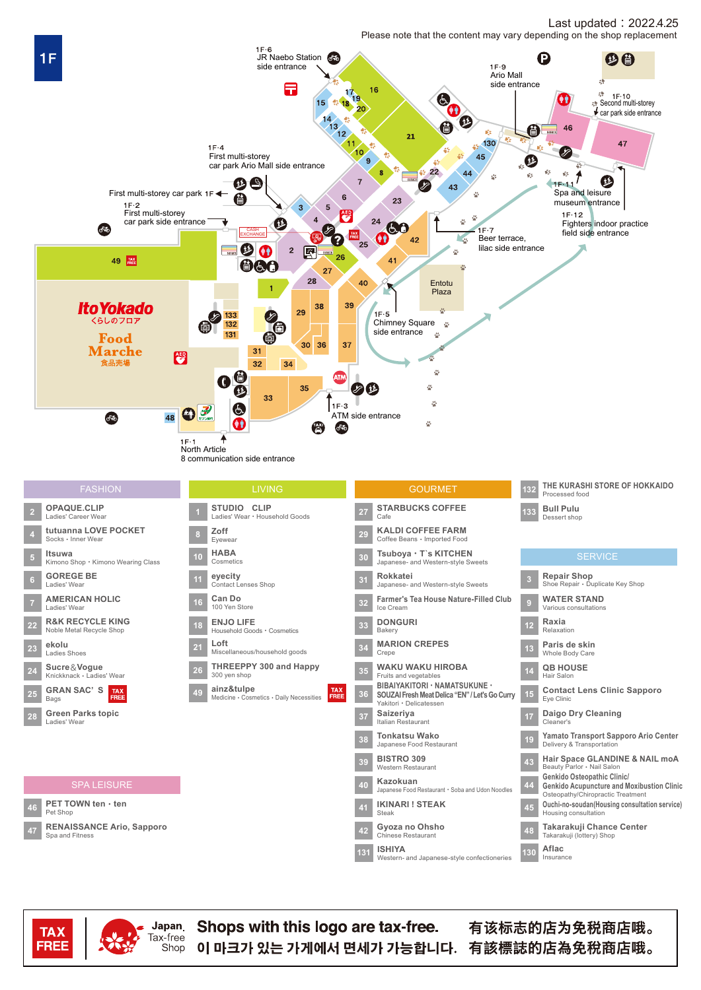## Last updated: 2022.4.25 Please note that the content may vary depending on the shop replacement





Japan

Tax-free

Shop

Shops with this logo are tax-free. 이 마크가 있는 가게에서 면세가 가능합니다. 有該標誌的店為免稅商店哦。

有该标志的店为免税商店哦。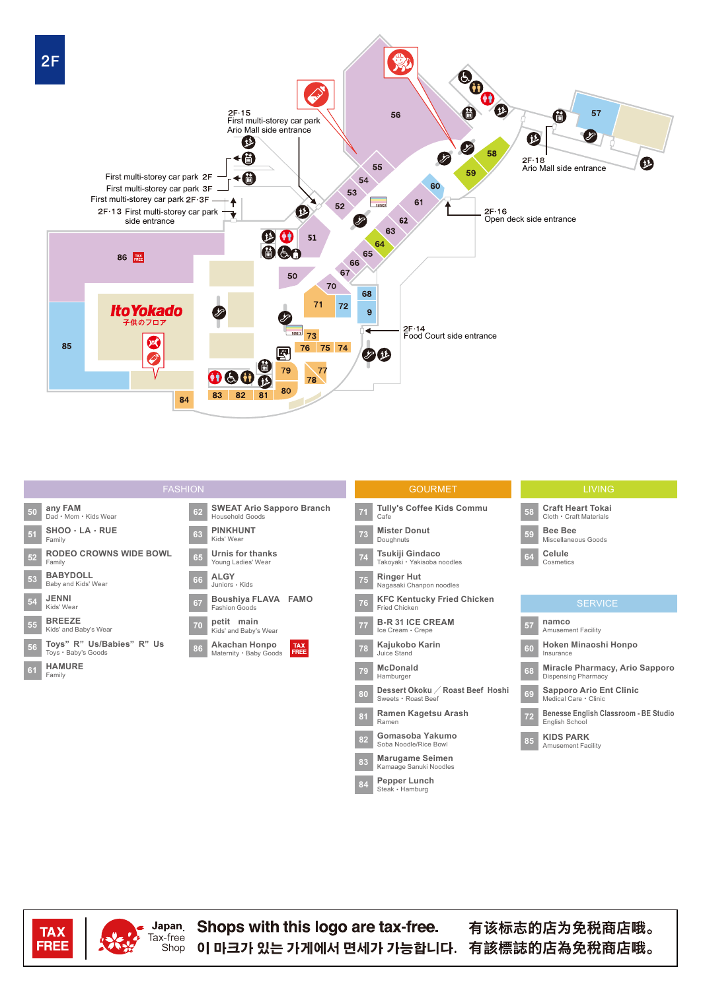

| <b>FASHION</b>                                         |                                                               | <b>GOURMET</b>                                                | <b>LIVING</b>                                                      |
|--------------------------------------------------------|---------------------------------------------------------------|---------------------------------------------------------------|--------------------------------------------------------------------|
| any FAM<br>50<br>Dad · Mom · Kids Wear                 | <b>SWEAT Ario Sapporo Branch</b><br>62<br>Household Goods     | <b>Tully's Coffee Kids Commu</b><br>Cafe                      | <b>Craft Heart Tokai</b><br>58<br>Cloth · Craft Materials          |
| $SHOO \cdot LA \cdot RUE$<br>51<br>Family              | <b>PINKHUNT</b><br>63<br>Kids' Wear                           | <b>Mister Donut</b><br>73<br>Doughnuts                        | <b>Bee Bee</b><br>59<br>Miscellaneous Goods                        |
| <b>RODEO CROWNS WIDE BOWL</b><br>52<br>Family          | <b>Urnis for thanks</b><br>65<br>Young Ladies' Wear           | Tsukiji Gindaco<br>74<br>Takoyaki · Yakisoba noodles          | Celule<br>64<br>Cosmetics                                          |
| <b>BABYDOLL</b><br>53<br>Baby and Kids' Wear           | <b>ALGY</b><br>66<br>Juniors · Kids                           | <b>Ringer Hut</b><br>75<br>Nagasaki Chanpon noodles           |                                                                    |
| <b>JENNI</b><br>54<br>Kids' Wear                       | Boushiya FLAVA FAMO<br>67<br><b>Fashion Goods</b>             | <b>KFC Kentucky Fried Chicken</b><br>76<br>Fried Chicken      | <b>SERVICE</b>                                                     |
| <b>BREEZE</b><br>55<br>Kids' and Baby's Wear           | petit main<br>70<br>Kids' and Baby's Wear                     | <b>B-R 31 ICE CREAM</b><br>77<br>Ice Cream · Crepe            | namco<br>57<br><b>Amusement Facility</b>                           |
| Toys" R" Us/Babies" R" Us<br>56<br>Toys . Baby's Goods | Akachan Honpo<br><b>TAX</b><br>FREE<br>Maternity · Baby Goods | Kajukobo Karin<br>78<br>Juice Stand                           | Hoken Minaoshi Honpo<br>60<br>Insurance                            |
| <b>HAMURE</b><br>61<br>Family                          |                                                               | <b>McDonald</b><br>79<br>Hamburger                            | Miracle Pharmacy, Ario Sapporo<br>68<br><b>Dispensing Pharmacy</b> |
|                                                        |                                                               | Dessert Okoku / Roast Beef Hoshi<br>80<br>Sweets · Roast Beef | <b>Sapporo Ario Ent Clinic</b><br>69<br>Medical Care · Clinic      |
|                                                        |                                                               | Ramen Kagetsu Arash<br>81<br>Ramen                            | Benesse English Classroom - BE Studio<br>72<br>English School      |
|                                                        |                                                               | Gomasoba Yakumo<br>82<br>Soba Noodle/Rice Bowl                | <b>KIDS PARK</b><br>85<br><b>Amusement Facility</b>                |
|                                                        |                                                               | <b>Marugame Seimen</b><br>83<br>Kamaage Sanuki Noodles        |                                                                    |

 $84$ 

Pepper Lunch<br>Steak · Hamburg





Shops with this logo are tax-free. 이 마크가 있는 가게에서 면세가 가능합니다. 有該標誌的店為免稅商店哦。

有该标志的店为免税商店哦。